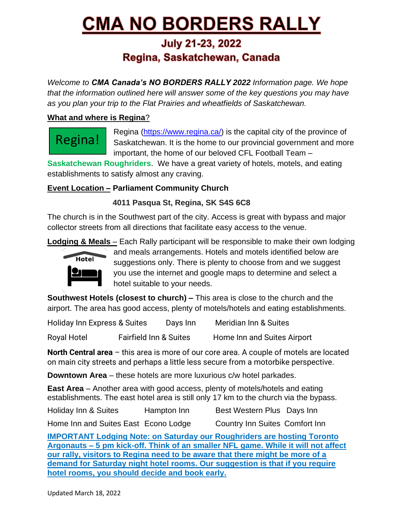# **CMA NO BORDERS RALLY**

# **July 21-23, 2022** Regina, Saskatchewan, Canada

*Welcome to CMA Canada's NO BORDERS RALLY 2022 Information page. We hope that the information outlined here will answer some of the key questions you may have as you plan your trip to the Flat Prairies and wheatfields of Saskatchewan.* 

#### **What and where is Regina**?

Regina!

Regina [\(https://www.regina.ca/\)](https://www.regina.ca/) is the capital city of the province of Saskatchewan. It is the home to our provincial government and more important, the home of our beloved CFL Football Team –

**Saskatchewan Roughriders**. We have a great variety of hotels, motels, and eating establishments to satisfy almost any craving.

## **Event Location – Parliament Community Church**

### **4011 Pasqua St, Regina, SK S4S 6C8**

The church is in the Southwest part of the city. Access is great with bypass and major collector streets from all directions that facilitate easy access to the venue.

**Lodging & Meals** – Each Rally participant will be responsible to make their own lodging



and meals arrangements. Hotels and motels identified below are suggestions only. There is plenty to choose from and we suggest you use the internet and google maps to determine and select a hotel suitable to your needs.

**Southwest Hotels (closest to church) –** This area is close to the church and the airport. The area has good access, plenty of motels/hotels and eating establishments.

| Holiday Inn Express & Suites |                                   | Days Inn | <b>Meridian Inn &amp; Suites</b> |
|------------------------------|-----------------------------------|----------|----------------------------------|
| <b>Royal Hotel</b>           | <b>Fairfield Inn &amp; Suites</b> |          | Home Inn and Suites Airport      |

**North Central area** – this area is more of our core area. A couple of motels are located on main city streets and perhaps a little less secure from a motorbike perspective.

**Downtown Area** – these hotels are more luxurious c/w hotel parkades.

**East Area** – Another area with good access, plenty of motels/hotels and eating establishments. The east hotel area is still only 17 km to the church via the bypass.

Holiday Inn & Suites Hampton Inn Best Western Plus Days Inn

Home Inn and Suites East Econo Lodge Country Inn Suites Comfort Inn

**IMPORTANT Lodging Note: on Saturday our Roughriders are hosting Toronto Argonauts – 5 pm kick-off. Think of an smaller NFL game. While it will not affect our rally, visitors to Regina need to be aware that there might be more of a demand for Saturday night hotel rooms. Our suggestion is that if you require hotel rooms, you should decide and book early.**